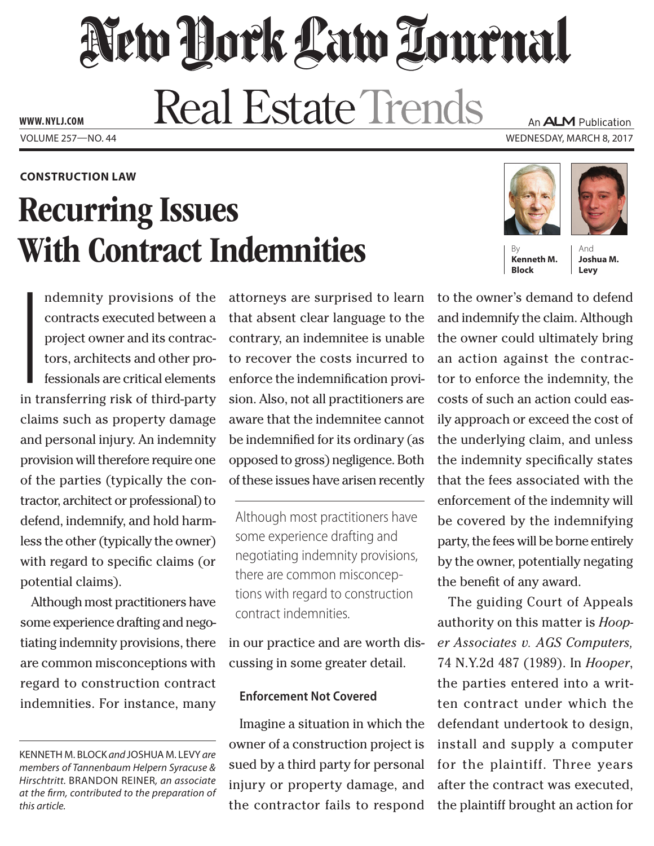# New Hork Law Tournal **Real Estate Trends**

**www. NYLJ.com**

#### **construction Law**

# Recurring Issues **With Contract Indemnities**

I ndemnity provisions of the contracts executed between a project owner and its contractors, architects and other professionals are critical elements in transferring risk of third-party claims such as property damage and personal injury. An indemnity provision will therefore require one of the parties (typically the contractor, architect or professional) to defend, indemnify, and hold harmless the other (typically the owner) with regard to specific claims (or potential claims).

Although most practitioners have some experience drafting and negotiating indemnity provisions, there are common misconceptions with regard to construction contract indemnities. For instance, many

attorneys are surprised to learn that absent clear language to the contrary, an indemnitee is unable to recover the costs incurred to enforce the indemnification provision. Also, not all practitioners are aware that the indemnitee cannot be indemnified for its ordinary (as opposed to gross) negligence. Both of these issues have arisen recently

Although most practitioners have some experience drafting and negotiating indemnity provisions, there are common misconceptions with regard to construction contract indemnities.

in our practice and are worth discussing in some greater detail.

### **Enforcement Not Covered**

Imagine a situation in which the owner of a construction project is sued by a third party for personal injury or property damage, and the contractor fails to respond

An **ALM** Publication Volume 257—NO. 44 Wednesday, March 8, 2017





**Kenneth M. Block**

**Joshua M. Levy**

to the owner's demand to defend and indemnify the claim. Although the owner could ultimately bring an action against the contractor to enforce the indemnity, the costs of such an action could easily approach or exceed the cost of the underlying claim, and unless the indemnity specifically states that the fees associated with the enforcement of the indemnity will be covered by the indemnifying party, the fees will be borne entirely by the owner, potentially negating the benefit of any award.

The guiding Court of Appeals authority on this matter is *Hooper Associates v. AGS Computers,* 74 N.Y.2d 487 (1989). In *Hooper*, the parties entered into a written contract under which the defendant undertook to design, install and supply a computer for the plaintiff. Three years after the contract was executed, the plaintiff brought an action for

Kenneth M. Block *and* Joshua M. Levy *are members of Tannenbaum Helpern Syracuse & Hirschtritt.* Brandon Reiner*, an associate at the firm, contributed to the preparation of this article.*